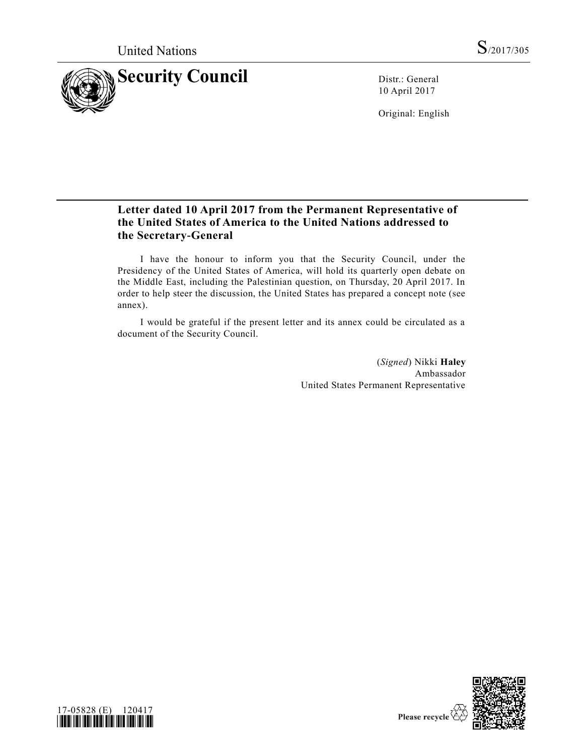

10 April 2017

Original: English

# **Letter dated 10 April 2017 from the Permanent Representative of the United States of America to the United Nations addressed to the Secretary-General**

I have the honour to inform you that the Security Council, under the Presidency of the United States of America, will hold its quarterly open debate on the Middle East, including the Palestinian question, on Thursday, 20 April 2017. In order to help steer the discussion, the United States has prepared a concept note (see annex).

I would be grateful if the present letter and its annex could be circulated as a document of the Security Council.

> (*Signed*) Nikki **Haley** Ambassador United States Permanent Representative